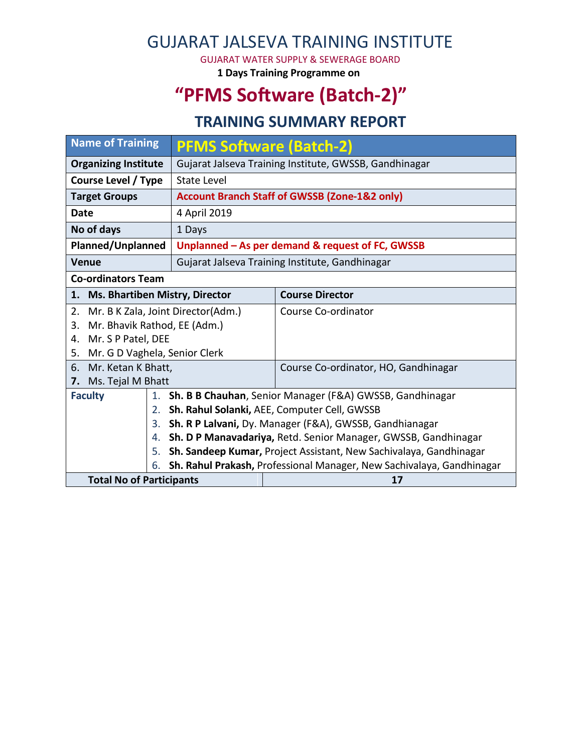# GUJARAT JALSEVA TRAINING INSTITUTE

GUJARAT WATER SUPPLY & SEWERAGE BOARD

**1 Days Training Programme on**

# **"PFMS Software (Batch-2)"**

### **TRAINING SUMMARY REPORT**

| <b>Name of Training</b>                                                     |                                                                               | <b>PFMS Software (Batch-2)</b>                         |  |  |  |  |
|-----------------------------------------------------------------------------|-------------------------------------------------------------------------------|--------------------------------------------------------|--|--|--|--|
| <b>Organizing Institute</b>                                                 |                                                                               | Gujarat Jalseva Training Institute, GWSSB, Gandhinagar |  |  |  |  |
| Course Level / Type                                                         | State Level                                                                   |                                                        |  |  |  |  |
| <b>Target Groups</b>                                                        | <b>Account Branch Staff of GWSSB (Zone-1&amp;2 only)</b>                      |                                                        |  |  |  |  |
| Date                                                                        | 4 April 2019                                                                  |                                                        |  |  |  |  |
| No of days                                                                  | 1 Days                                                                        |                                                        |  |  |  |  |
| <b>Planned/Unplanned</b>                                                    | Unplanned - As per demand & request of FC, GWSSB                              |                                                        |  |  |  |  |
| Venue                                                                       | Gujarat Jalseva Training Institute, Gandhinagar                               |                                                        |  |  |  |  |
| <b>Co-ordinators Team</b>                                                   |                                                                               |                                                        |  |  |  |  |
| <b>Ms. Bhartiben Mistry, Director</b><br>1.                                 |                                                                               | <b>Course Director</b>                                 |  |  |  |  |
| Mr. B K Zala, Joint Director(Adm.)<br>2.                                    |                                                                               | Course Co-ordinator                                    |  |  |  |  |
| Mr. Bhavik Rathod, EE (Adm.)<br>3.                                          |                                                                               |                                                        |  |  |  |  |
| Mr. S P Patel, DEE<br>4.                                                    |                                                                               |                                                        |  |  |  |  |
| Mr. G D Vaghela, Senior Clerk<br>5.                                         |                                                                               |                                                        |  |  |  |  |
| Mr. Ketan K Bhatt,<br>6.                                                    |                                                                               | Course Co-ordinator, HO, Gandhinagar                   |  |  |  |  |
| Ms. Tejal M Bhatt<br>7.                                                     |                                                                               |                                                        |  |  |  |  |
|                                                                             | <b>Faculty</b><br>1. Sh. B B Chauhan, Senior Manager (F&A) GWSSB, Gandhinagar |                                                        |  |  |  |  |
|                                                                             | Sh. Rahul Solanki, AEE, Computer Cell, GWSSB                                  |                                                        |  |  |  |  |
| 3.                                                                          | Sh. R P Lalvani, Dy. Manager (F&A), GWSSB, Gandhianagar                       |                                                        |  |  |  |  |
| 4.                                                                          | Sh. D P Manavadariya, Retd. Senior Manager, GWSSB, Gandhinagar                |                                                        |  |  |  |  |
| 5.                                                                          | Sh. Sandeep Kumar, Project Assistant, New Sachivalaya, Gandhinagar            |                                                        |  |  |  |  |
| Sh. Rahul Prakash, Professional Manager, New Sachivalaya, Gandhinagar<br>6. |                                                                               |                                                        |  |  |  |  |
| <b>Total No of Participants</b>                                             |                                                                               | 17                                                     |  |  |  |  |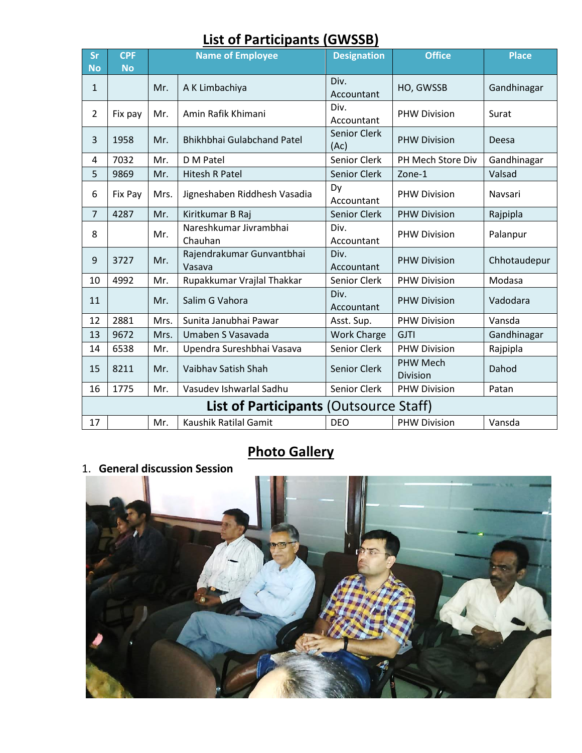## **List of Participants (GWSSB)**

| <b>Sr</b><br><b>No</b>                        | <b>CPF</b><br><b>No</b> | <b>Name of Employee</b> |                                     | <b>Designation</b>          | <b>Office</b>               | <b>Place</b> |  |  |
|-----------------------------------------------|-------------------------|-------------------------|-------------------------------------|-----------------------------|-----------------------------|--------------|--|--|
| 1                                             |                         | Mr.                     | A K Limbachiya                      | Div.<br>Accountant          | HO, GWSSB                   | Gandhinagar  |  |  |
| $\overline{2}$                                | Fix pay                 | Mr.                     | Amin Rafik Khimani                  | Div.<br>Accountant          | <b>PHW Division</b>         | Surat        |  |  |
| 3                                             | 1958                    | Mr.                     | Bhikhbhai Gulabchand Patel          | <b>Senior Clerk</b><br>(Ac) | <b>PHW Division</b>         | Deesa        |  |  |
| 4                                             | 7032                    | Mr.                     | D M Patel                           | <b>Senior Clerk</b>         | PH Mech Store Div           | Gandhinagar  |  |  |
| 5                                             | 9869                    | Mr.                     | <b>Hitesh R Patel</b>               | <b>Senior Clerk</b>         | Zone-1                      | Valsad       |  |  |
| 6                                             | Fix Pay                 | Mrs.                    | Jigneshaben Riddhesh Vasadia        | Dy<br>Accountant            | <b>PHW Division</b>         | Navsari      |  |  |
| $\overline{7}$                                | 4287                    | Mr.                     | Kiritkumar B Raj                    | <b>Senior Clerk</b>         | <b>PHW Division</b>         | Rajpipla     |  |  |
| 8                                             |                         | Mr.                     | Nareshkumar Jivrambhai<br>Chauhan   | Div.<br>Accountant          | <b>PHW Division</b>         | Palanpur     |  |  |
| 9                                             | 3727                    | Mr.                     | Rajendrakumar Gunvantbhai<br>Vasava | Div.<br>Accountant          | <b>PHW Division</b>         | Chhotaudepur |  |  |
| 10                                            | 4992                    | Mr.                     | Rupakkumar Vrajlal Thakkar          | Senior Clerk                | <b>PHW Division</b>         | Modasa       |  |  |
| 11                                            |                         | Mr.                     | Salim G Vahora                      | Div.<br>Accountant          | <b>PHW Division</b>         | Vadodara     |  |  |
| 12                                            | 2881                    | Mrs.                    | Sunita Janubhai Pawar               | Asst. Sup.                  | <b>PHW Division</b>         | Vansda       |  |  |
| 13                                            | 9672                    | Mrs.                    | Umaben S Vasavada                   | <b>Work Charge</b>          | <b>GJTI</b>                 | Gandhinagar  |  |  |
| 14                                            | 6538                    | Mr.                     | Upendra Sureshbhai Vasava           | Senior Clerk                | <b>PHW Division</b>         | Rajpipla     |  |  |
| 15                                            | 8211                    | Mr.                     | Vaibhav Satish Shah                 | <b>Senior Clerk</b>         | <b>PHW Mech</b><br>Division | Dahod        |  |  |
| 16                                            | 1775                    | Mr.                     | Vasudev Ishwarlal Sadhu             | Senior Clerk                | <b>PHW Division</b>         | Patan        |  |  |
| <b>List of Participants (Outsource Staff)</b> |                         |                         |                                     |                             |                             |              |  |  |
| 17                                            |                         | Mr.                     | Kaushik Ratilal Gamit               | <b>DEO</b>                  | <b>PHW Division</b>         | Vansda       |  |  |

# **Photo Gallery**

#### 1. **General discussion Session**